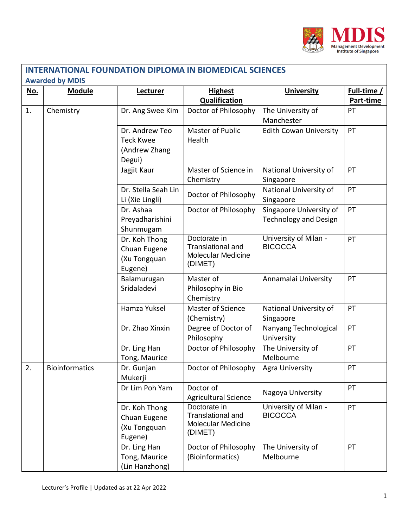

| <u>No.</u> | <b>Module</b>         | Lecturer                                                      | <b>Highest</b><br>Qualification                                                  | <b>University</b>                                       | Full-time /<br>Part-time |
|------------|-----------------------|---------------------------------------------------------------|----------------------------------------------------------------------------------|---------------------------------------------------------|--------------------------|
| 1.         | Chemistry             | Dr. Ang Swee Kim                                              | Doctor of Philosophy                                                             | The University of<br>Manchester                         | PT                       |
|            |                       | Dr. Andrew Teo<br><b>Teck Kwee</b><br>(Andrew Zhang<br>Degui) | Master of Public<br>Health                                                       | <b>Edith Cowan University</b>                           | PT                       |
|            |                       | Jagjit Kaur                                                   | Master of Science in<br>Chemistry                                                | National University of<br>Singapore                     | PT                       |
|            |                       | Dr. Stella Seah Lin<br>Li (Xie Lingli)                        | Doctor of Philosophy                                                             | National University of<br>Singapore                     | PT                       |
|            |                       | Dr. Ashaa<br>Preyadharishini<br>Shunmugam                     | Doctor of Philosophy                                                             | Singapore University of<br><b>Technology and Design</b> | PT                       |
|            |                       | Dr. Koh Thong<br>Chuan Eugene<br>(Xu Tongquan<br>Eugene)      | Doctorate in<br><b>Translational and</b><br><b>Molecular Medicine</b><br>(DIMET) | University of Milan -<br><b>BICOCCA</b>                 | PT                       |
|            |                       | Balamurugan<br>Sridaladevi                                    | Master of<br>Philosophy in Bio<br>Chemistry                                      | Annamalai University                                    | PT                       |
|            |                       | Hamza Yuksel                                                  | Master of Science<br>(Chemistry)                                                 | National University of<br>Singapore                     | PT                       |
|            |                       | Dr. Zhao Xinxin                                               | Degree of Doctor of<br>Philosophy                                                | Nanyang Technological<br>University                     | PT                       |
|            |                       | Dr. Ling Han<br>Tong, Maurice                                 | Doctor of Philosophy                                                             | The University of<br>Melbourne                          | PT                       |
| 2.         | <b>Bioinformatics</b> | Dr. Gunjan<br>Mukerji                                         | Doctor of Philosophy                                                             | Agra University                                         | РT                       |
|            |                       | Dr Lim Poh Yam                                                | Doctor of<br><b>Agricultural Science</b>                                         | Nagoya University                                       | PT                       |
|            |                       | Dr. Koh Thong<br>Chuan Eugene<br>(Xu Tongquan<br>Eugene)      | Doctorate in<br><b>Translational and</b><br><b>Molecular Medicine</b><br>(DIMET) | University of Milan -<br><b>BICOCCA</b>                 | PT                       |
|            |                       | Dr. Ling Han<br>Tong, Maurice<br>(Lin Hanzhong)               | Doctor of Philosophy<br>(Bioinformatics)                                         | The University of<br>Melbourne                          | PT                       |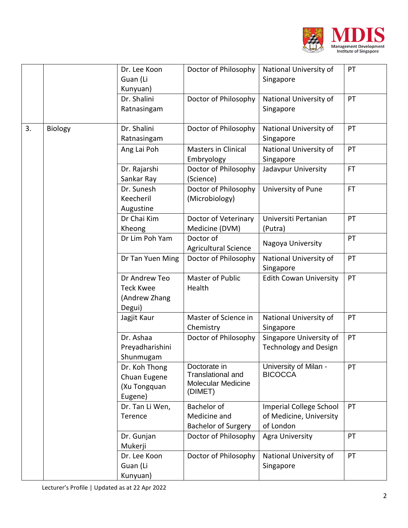

|    |         | Dr. Lee Koon<br>Guan (Li<br>Kunyuan)                         | Doctor of Philosophy                                                             | National University of<br>Singapore                                    | PT        |
|----|---------|--------------------------------------------------------------|----------------------------------------------------------------------------------|------------------------------------------------------------------------|-----------|
|    |         | Dr. Shalini<br>Ratnasingam                                   | Doctor of Philosophy                                                             | National University of<br>Singapore                                    | PT        |
| 3. | Biology | Dr. Shalini<br>Ratnasingam                                   | Doctor of Philosophy                                                             | National University of<br>Singapore                                    | PT        |
|    |         | Ang Lai Poh                                                  | <b>Masters in Clinical</b><br>Embryology                                         | National University of<br>Singapore                                    | PT        |
|    |         | Dr. Rajarshi<br>Sankar Ray                                   | Doctor of Philosophy<br>(Science)                                                | Jadavpur University                                                    | <b>FT</b> |
|    |         | Dr. Sunesh<br>Keecheril<br>Augustine                         | Doctor of Philosophy<br>(Microbiology)                                           | University of Pune                                                     | <b>FT</b> |
|    |         | Dr Chai Kim<br>Kheong                                        | Doctor of Veterinary<br>Medicine (DVM)                                           | Universiti Pertanian<br>(Putra)                                        | PT        |
|    |         | Dr Lim Poh Yam                                               | Doctor of<br><b>Agricultural Science</b>                                         | Nagoya University                                                      | PT        |
|    |         | Dr Tan Yuen Ming                                             | Doctor of Philosophy                                                             | National University of<br>Singapore                                    | PT        |
|    |         | Dr Andrew Teo<br><b>Teck Kwee</b><br>(Andrew Zhang<br>Degui) | <b>Master of Public</b><br>Health                                                | <b>Edith Cowan University</b>                                          | PT        |
|    |         | Jagjit Kaur                                                  | Master of Science in<br>Chemistry                                                | National University of<br>Singapore                                    | PT        |
|    |         | Dr. Ashaa<br>Preyadharishini<br>Shunmugam                    | Doctor of Philosophy                                                             | Singapore University of<br><b>Technology and Design</b>                | PT        |
|    |         | Dr. Koh Thong<br>Chuan Eugene<br>(Xu Tongquan<br>Eugene)     | Doctorate in<br><b>Translational and</b><br><b>Molecular Medicine</b><br>(DIMET) | University of Milan -<br><b>BICOCCA</b>                                | PT        |
|    |         | Dr. Tan Li Wen,<br>Terence                                   | Bachelor of<br>Medicine and<br><b>Bachelor of Surgery</b>                        | <b>Imperial College School</b><br>of Medicine, University<br>of London | PT        |
|    |         | Dr. Gunjan<br>Mukerji                                        | Doctor of Philosophy                                                             | <b>Agra University</b>                                                 | PT        |
|    |         | Dr. Lee Koon<br>Guan (Li<br>Kunyuan)                         | Doctor of Philosophy                                                             | National University of<br>Singapore                                    | PT        |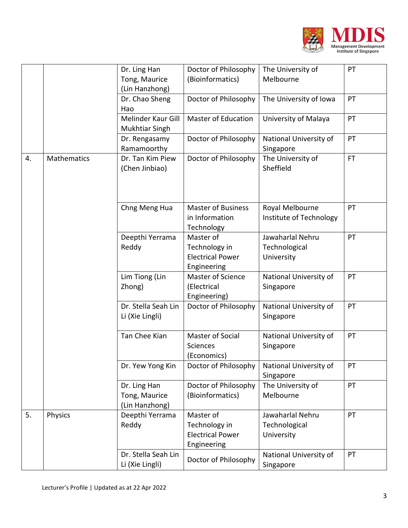

|    |                    | Dr. Ling Han<br>Tong, Maurice<br>(Lin Hanzhong) | Doctor of Philosophy<br>(Bioinformatics)                             | The University of<br>Melbourne                  | PT  |
|----|--------------------|-------------------------------------------------|----------------------------------------------------------------------|-------------------------------------------------|-----|
|    |                    | Dr. Chao Sheng<br>Hao                           | Doctor of Philosophy                                                 | The University of Iowa                          | PT  |
|    |                    | Melinder Kaur Gill<br><b>Mukhtiar Singh</b>     | <b>Master of Education</b>                                           | University of Malaya                            | PT  |
|    |                    | Dr. Rengasamy<br>Ramamoorthy                    | Doctor of Philosophy                                                 | National University of<br>Singapore             | PT  |
| 4. | <b>Mathematics</b> | Dr. Tan Kim Piew<br>(Chen Jinbiao)              | Doctor of Philosophy                                                 | The University of<br>Sheffield                  | FT. |
|    |                    | Chng Meng Hua                                   | <b>Master of Business</b><br>in Information<br>Technology            | Royal Melbourne<br>Institute of Technology      | PT  |
|    |                    | Deepthi Yerrama<br>Reddy                        | Master of<br>Technology in<br><b>Electrical Power</b><br>Engineering | Jawaharlal Nehru<br>Technological<br>University | PT  |
|    |                    | Lim Tiong (Lin<br>Zhong)                        | <b>Master of Science</b><br>(Electrical<br>Engineering)              | National University of<br>Singapore             | PT  |
|    |                    | Dr. Stella Seah Lin<br>Li (Xie Lingli)          | Doctor of Philosophy                                                 | National University of<br>Singapore             | PT  |
|    |                    | Tan Chee Kian                                   | Master of Social<br><b>Sciences</b><br>(Economics)                   | National University of<br>Singapore             | PT  |
|    |                    | Dr. Yew Yong Kin                                | Doctor of Philosophy                                                 | National University of<br>Singapore             | PT  |
|    |                    | Dr. Ling Han<br>Tong, Maurice<br>(Lin Hanzhong) | Doctor of Philosophy<br>(Bioinformatics)                             | The University of<br>Melbourne                  | PT  |
| 5. | Physics            | Deepthi Yerrama<br>Reddy                        | Master of<br>Technology in<br><b>Electrical Power</b><br>Engineering | Jawaharlal Nehru<br>Technological<br>University | PT  |
|    |                    | Dr. Stella Seah Lin<br>Li (Xie Lingli)          | Doctor of Philosophy                                                 | National University of<br>Singapore             | PT  |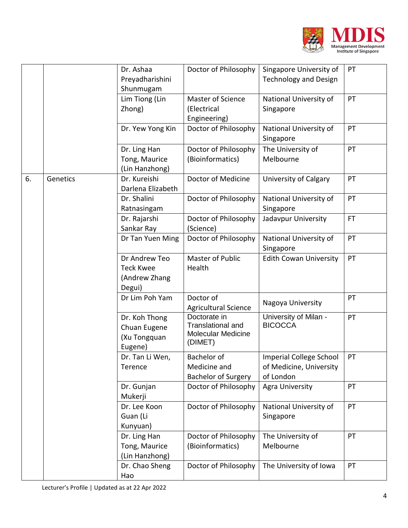

|    |          | Dr. Ashaa<br>Preyadharishini<br>Shunmugam                    | Doctor of Philosophy                                                             | Singapore University of<br><b>Technology and Design</b>                | PT        |
|----|----------|--------------------------------------------------------------|----------------------------------------------------------------------------------|------------------------------------------------------------------------|-----------|
|    |          | Lim Tiong (Lin<br>Zhong)                                     | Master of Science<br>(Electrical<br>Engineering)                                 | National University of<br>Singapore                                    | PT        |
|    |          | Dr. Yew Yong Kin                                             | Doctor of Philosophy                                                             | National University of<br>Singapore                                    | PT        |
|    |          | Dr. Ling Han<br>Tong, Maurice<br>(Lin Hanzhong)              | Doctor of Philosophy<br>(Bioinformatics)                                         | The University of<br>Melbourne                                         | PT        |
| 6. | Genetics | Dr. Kureishi<br>Darlena Elizabeth                            | Doctor of Medicine                                                               | <b>University of Calgary</b>                                           | PT        |
|    |          | Dr. Shalini<br>Ratnasingam                                   | Doctor of Philosophy                                                             | National University of<br>Singapore                                    | PT        |
|    |          | Dr. Rajarshi<br>Sankar Ray                                   | Doctor of Philosophy<br>(Science)                                                | Jadavpur University                                                    | <b>FT</b> |
|    |          | Dr Tan Yuen Ming                                             | Doctor of Philosophy                                                             | National University of<br>Singapore                                    | PT        |
|    |          | Dr Andrew Teo<br><b>Teck Kwee</b><br>(Andrew Zhang<br>Degui) | <b>Master of Public</b><br>Health                                                | <b>Edith Cowan University</b>                                          | PT        |
|    |          | Dr Lim Poh Yam                                               | Doctor of<br><b>Agricultural Science</b>                                         | Nagoya University                                                      | PT        |
|    |          | Dr. Koh Thong<br>Chuan Eugene<br>(Xu Tongquan<br>Eugene)     | Doctorate in<br><b>Translational and</b><br><b>Molecular Medicine</b><br>(DIMET) | University of Milan -<br><b>BICOCCA</b>                                | PT        |
|    |          | Dr. Tan Li Wen,<br>Terence                                   | Bachelor of<br>Medicine and<br><b>Bachelor of Surgery</b>                        | <b>Imperial College School</b><br>of Medicine, University<br>of London | PT        |
|    |          | Dr. Gunjan<br>Mukerji                                        | Doctor of Philosophy                                                             | <b>Agra University</b>                                                 | PT        |
|    |          | Dr. Lee Koon<br>Guan (Li<br>Kunyuan)                         | Doctor of Philosophy                                                             | National University of<br>Singapore                                    | PT        |
|    |          | Dr. Ling Han<br>Tong, Maurice<br>(Lin Hanzhong)              | Doctor of Philosophy<br>(Bioinformatics)                                         | The University of<br>Melbourne                                         | PT        |
|    |          | Dr. Chao Sheng<br>Hao                                        | Doctor of Philosophy                                                             | The University of Iowa                                                 | PT        |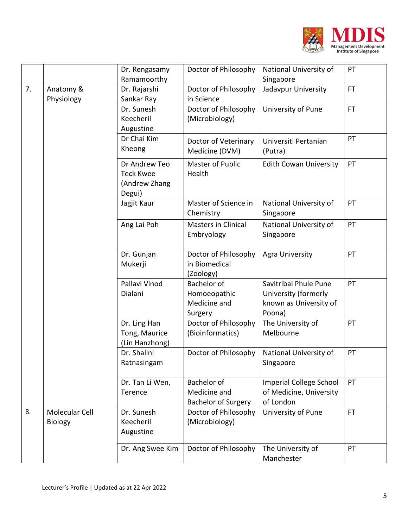

|    |                                  | Dr. Rengasamy<br>Ramamoorthy                                 | Doctor of Philosophy                                          | National University of<br>Singapore                                               | PT        |
|----|----------------------------------|--------------------------------------------------------------|---------------------------------------------------------------|-----------------------------------------------------------------------------------|-----------|
| 7. | Anatomy &<br>Physiology          | Dr. Rajarshi<br>Sankar Ray                                   | Doctor of Philosophy<br>in Science                            | Jadavpur University                                                               | <b>FT</b> |
|    |                                  | Dr. Sunesh<br>Keecheril<br>Augustine                         | Doctor of Philosophy<br>(Microbiology)                        | University of Pune                                                                | <b>FT</b> |
|    |                                  | Dr Chai Kim<br>Kheong                                        | Doctor of Veterinary<br>Medicine (DVM)                        | Universiti Pertanian<br>(Putra)                                                   | PT        |
|    |                                  | Dr Andrew Teo<br><b>Teck Kwee</b><br>(Andrew Zhang<br>Degui) | Master of Public<br>Health                                    | <b>Edith Cowan University</b>                                                     | PT        |
|    |                                  | Jagjit Kaur                                                  | Master of Science in<br>Chemistry                             | National University of<br>Singapore                                               | PT        |
|    |                                  | Ang Lai Poh                                                  | <b>Masters in Clinical</b><br>Embryology                      | National University of<br>Singapore                                               | PT        |
|    |                                  | Dr. Gunjan<br>Mukerji                                        | Doctor of Philosophy<br>in Biomedical<br>(Zoology)            | Agra University                                                                   | PT        |
|    |                                  | Pallavi Vinod<br>Dialani                                     | <b>Bachelor</b> of<br>Homoeopathic<br>Medicine and<br>Surgery | Savitribai Phule Pune<br>University (formerly<br>known as University of<br>Poona) | PT        |
|    |                                  | Dr. Ling Han<br>Tong, Maurice<br>(Lin Hanzhong)              | Doctor of Philosophy<br>(Bioinformatics)                      | The University of<br>Melbourne                                                    | PT        |
|    |                                  | Dr. Shalini<br>Ratnasingam                                   | Doctor of Philosophy                                          | National University of<br>Singapore                                               | PT        |
|    |                                  | Dr. Tan Li Wen,<br>Terence                                   | Bachelor of<br>Medicine and<br><b>Bachelor of Surgery</b>     | <b>Imperial College School</b><br>of Medicine, University<br>of London            | PT        |
| 8. | Molecular Cell<br><b>Biology</b> | Dr. Sunesh<br>Keecheril<br>Augustine                         | Doctor of Philosophy<br>(Microbiology)                        | University of Pune                                                                | <b>FT</b> |
|    |                                  | Dr. Ang Swee Kim                                             | Doctor of Philosophy                                          | The University of<br>Manchester                                                   | PT        |